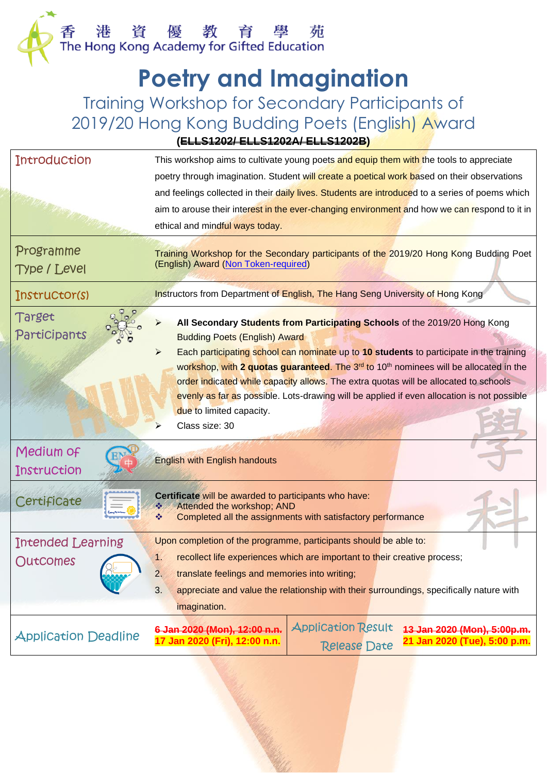## **Poetry and Imagination**

Training Workshop for Secondary Participants of 2019/20 Hong Kong Budding Poets (English) Award

**(ELLS1202/ ELLS1202A/ ELLS1202B)**

| <b>Introduction</b>                                                                           | This workshop aims to cultivate young poets and equip them with the tools to appreciate                                              |  |  |  |  |
|-----------------------------------------------------------------------------------------------|--------------------------------------------------------------------------------------------------------------------------------------|--|--|--|--|
|                                                                                               | poetry through imagination. Student will create a poetical work based on their observations                                          |  |  |  |  |
|                                                                                               | and feelings collected in their daily lives. Students are introduced to a series of poems which                                      |  |  |  |  |
|                                                                                               | aim to arouse their interest in the ever-changing environment and how we can respond to it in                                        |  |  |  |  |
|                                                                                               | ethical and mindful ways today.                                                                                                      |  |  |  |  |
| Programme                                                                                     | Training Workshop for the Secondary participants of the 2019/20 Hong Kong Budding Poet<br>(English) Award (Non Token-required)       |  |  |  |  |
| <b>Type / Level</b>                                                                           |                                                                                                                                      |  |  |  |  |
| Instructor(s)                                                                                 | Instructors from Department of English, The Hang Seng University of Hong Kong                                                        |  |  |  |  |
| Target                                                                                        |                                                                                                                                      |  |  |  |  |
| Participants                                                                                  | All Secondary Students from Participating Schools of the 2019/20 Hong Kong                                                           |  |  |  |  |
|                                                                                               | <b>Budding Poets (English) Award</b><br>⋗<br>Each participating school can nominate up to 10 students to participate in the training |  |  |  |  |
|                                                                                               | workshop, with 2 quotas guaranteed. The 3 <sup>rd</sup> to 10 <sup>th</sup> nominees will be allocated in the                        |  |  |  |  |
|                                                                                               | order indicated while capacity allows. The extra quotas will be allocated to schools                                                 |  |  |  |  |
|                                                                                               | evenly as far as possible. Lots-drawing will be applied if even allocation is not possible                                           |  |  |  |  |
|                                                                                               | due to limited capacity.                                                                                                             |  |  |  |  |
|                                                                                               | Class size: 30                                                                                                                       |  |  |  |  |
| Medium of                                                                                     |                                                                                                                                      |  |  |  |  |
| Instruction                                                                                   | <b>English with English handouts</b>                                                                                                 |  |  |  |  |
|                                                                                               |                                                                                                                                      |  |  |  |  |
| Certificate                                                                                   | Certificate will be awarded to participants who have:<br>Attended the workshop; AND                                                  |  |  |  |  |
|                                                                                               | Completed all the assignments with satisfactory performance                                                                          |  |  |  |  |
| Intended Learning                                                                             | Upon completion of the programme, participants should be able to:                                                                    |  |  |  |  |
| Outcomes                                                                                      | recollect life experiences which are important to their creative process;<br>1                                                       |  |  |  |  |
|                                                                                               | 2.<br>translate feelings and memories into writing;                                                                                  |  |  |  |  |
| 3.<br>appreciate and value the relationship with their surroundings, specifically nature with |                                                                                                                                      |  |  |  |  |
| imagination.                                                                                  |                                                                                                                                      |  |  |  |  |
| <b>Application Deadline</b>                                                                   | <b>Application Result</b><br>13 Jan 2020 (Mon), 5:00p.m.<br>6 Jan 2020 (Mon), 12:00 n.n.                                             |  |  |  |  |
|                                                                                               | 21 Jan 2020 (Tue), 5:00 p.m.<br>17 Jan 2020 (Fri), 12:00 n.n.<br><b>Release Date</b>                                                 |  |  |  |  |